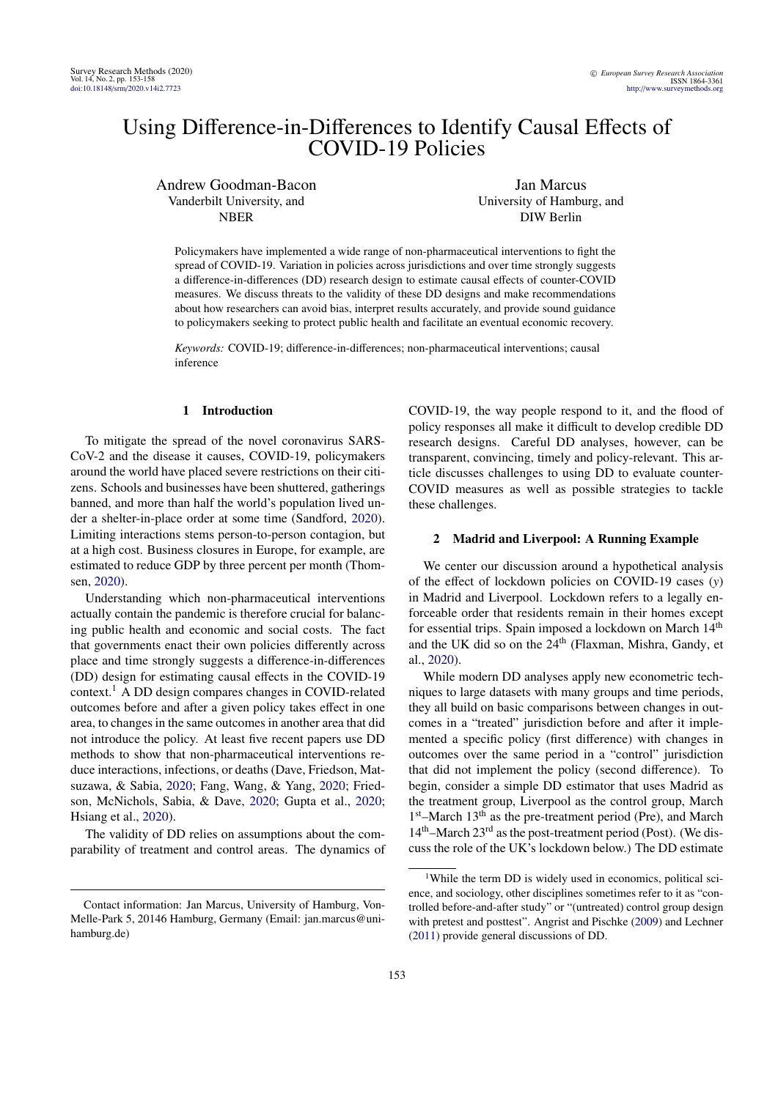# Using Difference-in-Differences to Identify Causal Effects of COVID-19 Policies

Andrew Goodman-Bacon Vanderbilt University, and NBER

Jan Marcus University of Hamburg, and DIW Berlin

Policymakers have implemented a wide range of non-pharmaceutical interventions to fight the spread of COVID-19. Variation in policies across jurisdictions and over time strongly suggests a difference-in-differences (DD) research design to estimate causal effects of counter-COVID measures. We discuss threats to the validity of these DD designs and make recommendations about how researchers can avoid bias, interpret results accurately, and provide sound guidance to policymakers seeking to protect public health and facilitate an eventual economic recovery.

*Keywords:* COVID-19; difference-in-differences; non-pharmaceutical interventions; causal inference

## 1 Introduction

To mitigate the spread of the novel coronavirus SARS-CoV-2 and the disease it causes, COVID-19, policymakers around the world have placed severe restrictions on their citizens. Schools and businesses have been shuttered, gatherings banned, and more than half the world's population lived under a shelter-in-place order at some time (Sandford, [2020\)](#page-4-0). Limiting interactions stems person-to-person contagion, but at a high cost. Business closures in Europe, for example, are estimated to reduce GDP by three percent per month (Thomsen, [2020\)](#page-4-1).

Understanding which non-pharmaceutical interventions actually contain the pandemic is therefore crucial for balancing public health and economic and social costs. The fact that governments enact their own policies differently across place and time strongly suggests a difference-in-differences (DD) design for estimating causal effects in the COVID-19 context.[1](#page-0-0) A DD design compares changes in COVID-related outcomes before and after a given policy takes effect in one area, to changes in the same outcomes in another area that did not introduce the policy. At least five recent papers use DD methods to show that non-pharmaceutical interventions reduce interactions, infections, or deaths (Dave, Friedson, Matsuzawa, & Sabia, [2020;](#page-3-0) Fang, Wang, & Yang, [2020;](#page-4-2) Friedson, McNichols, Sabia, & Dave, [2020;](#page-4-3) Gupta et al., [2020;](#page-4-4) Hsiang et al., [2020\)](#page-4-5).

The validity of DD relies on assumptions about the comparability of treatment and control areas. The dynamics of COVID-19, the way people respond to it, and the flood of policy responses all make it difficult to develop credible DD research designs. Careful DD analyses, however, can be transparent, convincing, timely and policy-relevant. This article discusses challenges to using DD to evaluate counter-COVID measures as well as possible strategies to tackle these challenges.

## 2 Madrid and Liverpool: A Running Example

We center our discussion around a hypothetical analysis of the effect of lockdown policies on COVID-19 cases (*y*) in Madrid and Liverpool. Lockdown refers to a legally enforceable order that residents remain in their homes except for essential trips. Spain imposed a lockdown on March 14<sup>th</sup> and the UK did so on the 24<sup>th</sup> (Flaxman, Mishra, Gandy, et al., [2020\)](#page-4-6).

While modern DD analyses apply new econometric techniques to large datasets with many groups and time periods, they all build on basic comparisons between changes in outcomes in a "treated" jurisdiction before and after it implemented a specific policy (first difference) with changes in outcomes over the same period in a "control" jurisdiction that did not implement the policy (second difference). To begin, consider a simple DD estimator that uses Madrid as the treatment group, Liverpool as the control group, March 1<sup>st</sup>–March 13<sup>th</sup> as the pre-treatment period (Pre), and March  $14<sup>th</sup>$ –March  $23<sup>rd</sup>$  as the post-treatment period (Post). (We discuss the role of the UK's lockdown below.) The DD estimate

Contact information: Jan Marcus, University of Hamburg, Von-Melle-Park 5, 20146 Hamburg, Germany (Email: jan.marcus@unihamburg.de)

<span id="page-0-0"></span><sup>&</sup>lt;sup>1</sup>While the term DD is widely used in economics, political science, and sociology, other disciplines sometimes refer to it as "controlled before-and-after study" or "(untreated) control group design with pretest and posttest". Angrist and Pischke [\(2009\)](#page-3-1) and Lechner [\(2011\)](#page-4-7) provide general discussions of DD.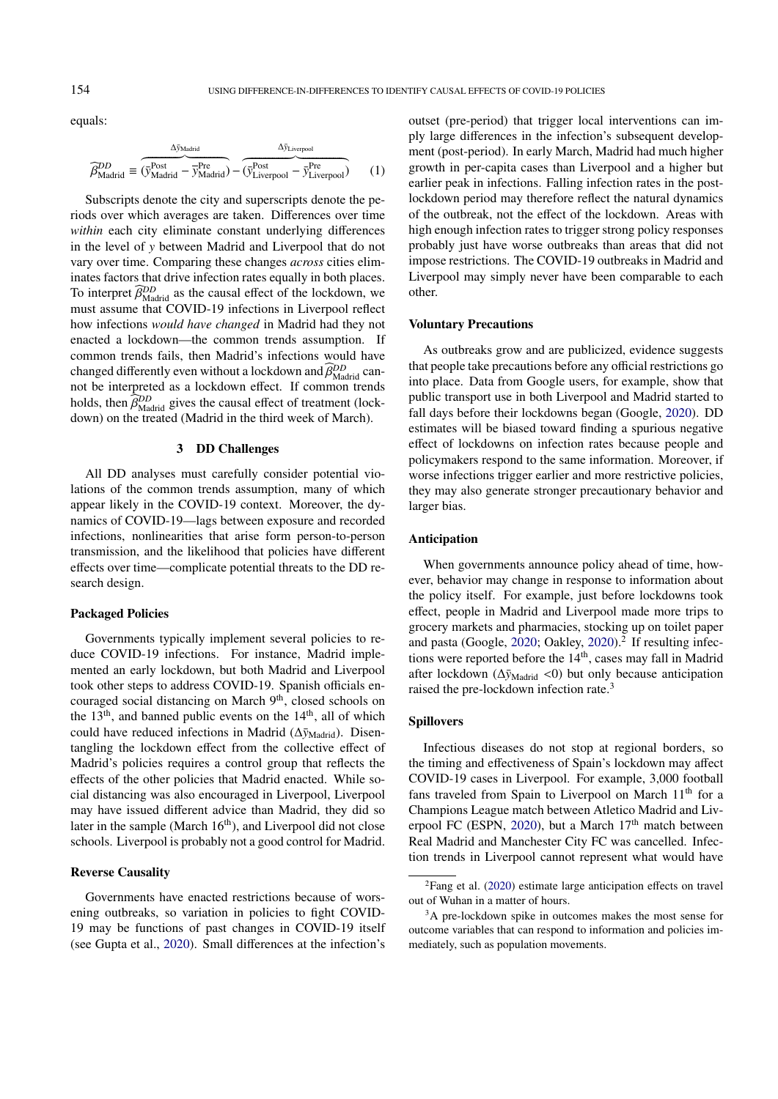equals:

$$
\widehat{\beta}_{\text{Madrid}}^{DD} \equiv \overbrace{(\bar{y}_{\text{Madrid}}^{\text{Post}} - \bar{y}_{\text{Madrid}}^{\text{Pre}})}^{\Delta \bar{y}_{\text{Liverpool}}^{\text{Post}} - \Delta \bar{y}_{\text{Liverpool}}^{\text{Post}} - \Delta \bar{y}_{\text{Liverpool}}^{\text{Pre}})}^{\Delta \bar{y}_{\text{Liverpool}}^{\text{test}}}
$$
(1)

Subscripts denote the city and superscripts denote the periods over which averages are taken. Differences over time *within* each city eliminate constant underlying differences in the level of *y* between Madrid and Liverpool that do not vary over time. Comparing these changes *across* cities eliminates factors that drive infection rates equally in both places. To interpret  $\widehat{\beta}_{\text{Madrid}}^{\text{DD}}$  as the causal effect of the lockdown, we must assume that  $\text{COVID-19}$  infections in I iverpool reflect must assume that COVID-19 infections in Liverpool reflect how infections *would have changed* in Madrid had they not enacted a lockdown—the common trends assumption. If common trends fails, then Madrid's infections would have changed differently even without a lockdown and  $\widehat{\beta}_{\text{Mad}}^{DD}$  can-<br>not be interpreted as a lockdown effect. If common trends not be interpreted as a lockdown effect. If common trends holds, then  $\widehat{\beta}_{\text{Madrid}}^{DD}$  gives the causal effect of treatment (lock-<br>down) on the trasted (Madrid in the third week of March) down) on the treated (Madrid in the third week of March).

# 3 DD Challenges

All DD analyses must carefully consider potential violations of the common trends assumption, many of which appear likely in the COVID-19 context. Moreover, the dynamics of COVID-19—lags between exposure and recorded infections, nonlinearities that arise form person-to-person transmission, and the likelihood that policies have different effects over time—complicate potential threats to the DD research design.

#### Packaged Policies

Governments typically implement several policies to reduce COVID-19 infections. For instance, Madrid implemented an early lockdown, but both Madrid and Liverpool took other steps to address COVID-19. Spanish officials encouraged social distancing on March 9<sup>th</sup>, closed schools on the 13<sup>th</sup>, and banned public events on the 14<sup>th</sup>, all of which could have reduced infections in Madrid ( $\Delta\bar{y}_{\text{Madrid}}$ ). Disentangling the lockdown effect from the collective effect of Madrid's policies requires a control group that reflects the effects of the other policies that Madrid enacted. While social distancing was also encouraged in Liverpool, Liverpool may have issued different advice than Madrid, they did so later in the sample (March  $16<sup>th</sup>$ ), and Liverpool did not close schools. Liverpool is probably not a good control for Madrid.

## Reverse Causality

Governments have enacted restrictions because of worsening outbreaks, so variation in policies to fight COVID-19 may be functions of past changes in COVID-19 itself (see Gupta et al., [2020\)](#page-4-4). Small differences at the infection's

outset (pre-period) that trigger local interventions can imply large differences in the infection's subsequent development (post-period). In early March, Madrid had much higher growth in per-capita cases than Liverpool and a higher but earlier peak in infections. Falling infection rates in the postlockdown period may therefore reflect the natural dynamics of the outbreak, not the effect of the lockdown. Areas with high enough infection rates to trigger strong policy responses probably just have worse outbreaks than areas that did not impose restrictions. The COVID-19 outbreaks in Madrid and Liverpool may simply never have been comparable to each other.

#### Voluntary Precautions

As outbreaks grow and are publicized, evidence suggests that people take precautions before any official restrictions go into place. Data from Google users, for example, show that public transport use in both Liverpool and Madrid started to fall days before their lockdowns began (Google, [2020\)](#page-4-8). DD estimates will be biased toward finding a spurious negative effect of lockdowns on infection rates because people and policymakers respond to the same information. Moreover, if worse infections trigger earlier and more restrictive policies, they may also generate stronger precautionary behavior and larger bias.

# Anticipation

When governments announce policy ahead of time, however, behavior may change in response to information about the policy itself. For example, just before lockdowns took effect, people in Madrid and Liverpool made more trips to grocery markets and pharmacies, stocking up on toilet paper and pasta (Google, [2020;](#page-4-8) Oakley, [2020\)](#page-4-9).<sup>[2](#page-1-0)</sup> If resulting infections were reported before the 14<sup>th</sup>, cases may fall in Madrid after lockdown (Δ $\bar{y}_{Madrid}$  <0) but only because anticipation raised the pre-lockdown infection rate.<sup>[3](#page-1-1)</sup>

## Spillovers

Infectious diseases do not stop at regional borders, so the timing and effectiveness of Spain's lockdown may affect COVID-19 cases in Liverpool. For example, 3,000 football fans traveled from Spain to Liverpool on March 11<sup>th</sup> for a Champions League match between Atletico Madrid and Liv-erpool FC (ESPN, [2020\)](#page-4-10), but a March 17<sup>th</sup> match between Real Madrid and Manchester City FC was cancelled. Infection trends in Liverpool cannot represent what would have

<span id="page-1-0"></span><sup>2</sup>Fang et al. [\(2020\)](#page-4-2) estimate large anticipation effects on travel out of Wuhan in a matter of hours.

<span id="page-1-1"></span><sup>&</sup>lt;sup>3</sup>A pre-lockdown spike in outcomes makes the most sense for outcome variables that can respond to information and policies immediately, such as population movements.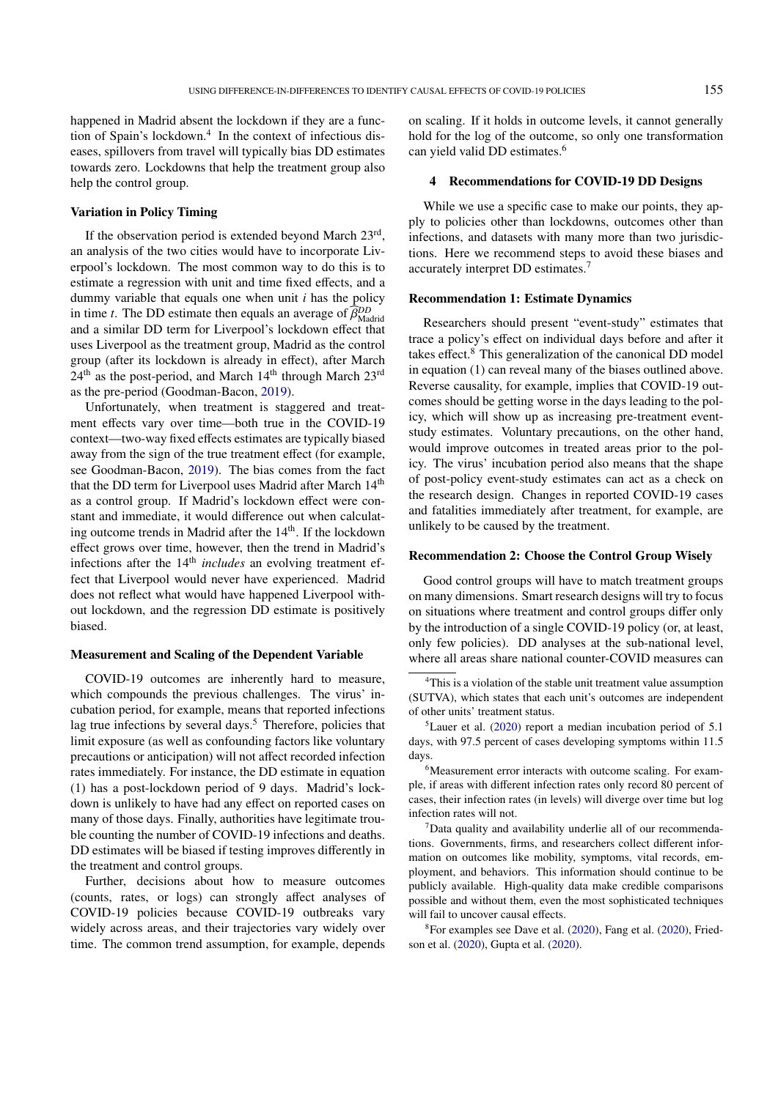happened in Madrid absent the lockdown if they are a func-tion of Spain's lockdown.<sup>[4](#page-2-0)</sup> In the context of infectious diseases, spillovers from travel will typically bias DD estimates towards zero. Lockdowns that help the treatment group also help the control group.

## Variation in Policy Timing

If the observation period is extended beyond March 23rd, an analysis of the two cities would have to incorporate Liverpool's lockdown. The most common way to do this is to estimate a regression with unit and time fixed effects, and a dummy variable that equals one when unit *i* has the policy in time *t*. The DD estimate then equals an average of  $\widehat{\beta}_{\text{Madrid}}^{DD}$ and a similar DD term for Liverpool's lockdown effect that uses Liverpool as the treatment group, Madrid as the control group (after its lockdown is already in effect), after March 24<sup>th</sup> as the post-period, and March 14<sup>th</sup> through March 23<sup>rd</sup> as the pre-period (Goodman-Bacon, [2019\)](#page-4-11).

Unfortunately, when treatment is staggered and treatment effects vary over time—both true in the COVID-19 context—two-way fixed effects estimates are typically biased away from the sign of the true treatment effect (for example, see Goodman-Bacon, [2019\)](#page-4-11). The bias comes from the fact that the DD term for Liverpool uses Madrid after March 14<sup>th</sup> as a control group. If Madrid's lockdown effect were constant and immediate, it would difference out when calculating outcome trends in Madrid after the 14<sup>th</sup>. If the lockdown effect grows over time, however, then the trend in Madrid's infections after the 14<sup>th</sup> *includes* an evolving treatment effect that Liverpool would never have experienced. Madrid does not reflect what would have happened Liverpool without lockdown, and the regression DD estimate is positively biased.

## Measurement and Scaling of the Dependent Variable

COVID-19 outcomes are inherently hard to measure, which compounds the previous challenges. The virus' incubation period, for example, means that reported infections lag true infections by several days.<sup>[5](#page-2-1)</sup> Therefore, policies that limit exposure (as well as confounding factors like voluntary precautions or anticipation) will not affect recorded infection rates immediately. For instance, the DD estimate in equation (1) has a post-lockdown period of 9 days. Madrid's lockdown is unlikely to have had any effect on reported cases on many of those days. Finally, authorities have legitimate trouble counting the number of COVID-19 infections and deaths. DD estimates will be biased if testing improves differently in the treatment and control groups.

Further, decisions about how to measure outcomes (counts, rates, or logs) can strongly affect analyses of COVID-19 policies because COVID-19 outbreaks vary widely across areas, and their trajectories vary widely over time. The common trend assumption, for example, depends on scaling. If it holds in outcome levels, it cannot generally hold for the log of the outcome, so only one transformation can yield valid DD estimates.[6](#page-2-2)

## 4 Recommendations for COVID-19 DD Designs

While we use a specific case to make our points, they apply to policies other than lockdowns, outcomes other than infections, and datasets with many more than two jurisdictions. Here we recommend steps to avoid these biases and accurately interpret DD estimates.[7](#page-2-3)

#### Recommendation 1: Estimate Dynamics

Researchers should present "event-study" estimates that trace a policy's effect on individual days before and after it takes effect.[8](#page-2-4) This generalization of the canonical DD model in equation (1) can reveal many of the biases outlined above. Reverse causality, for example, implies that COVID-19 outcomes should be getting worse in the days leading to the policy, which will show up as increasing pre-treatment eventstudy estimates. Voluntary precautions, on the other hand, would improve outcomes in treated areas prior to the policy. The virus' incubation period also means that the shape of post-policy event-study estimates can act as a check on the research design. Changes in reported COVID-19 cases and fatalities immediately after treatment, for example, are unlikely to be caused by the treatment.

## Recommendation 2: Choose the Control Group Wisely

Good control groups will have to match treatment groups on many dimensions. Smart research designs will try to focus on situations where treatment and control groups differ only by the introduction of a single COVID-19 policy (or, at least, only few policies). DD analyses at the sub-national level, where all areas share national counter-COVID measures can

<span id="page-2-1"></span> ${}^{5}$ Lauer et al. [\(2020\)](#page-4-12) report a median incubation period of 5.1 days, with 97.5 percent of cases developing symptoms within 11.5 days.

<span id="page-2-2"></span><sup>6</sup>Measurement error interacts with outcome scaling. For example, if areas with different infection rates only record 80 percent of cases, their infection rates (in levels) will diverge over time but log infection rates will not.

<span id="page-2-3"></span> $7$ Data quality and availability underlie all of our recommendations. Governments, firms, and researchers collect different information on outcomes like mobility, symptoms, vital records, employment, and behaviors. This information should continue to be publicly available. High-quality data make credible comparisons possible and without them, even the most sophisticated techniques will fail to uncover causal effects.

<span id="page-2-4"></span><sup>8</sup>For examples see Dave et al. [\(2020\)](#page-3-0), Fang et al. [\(2020\)](#page-4-2), Friedson et al. [\(2020\)](#page-4-3), Gupta et al. [\(2020\)](#page-4-4).

<span id="page-2-0"></span><sup>4</sup>This is a violation of the stable unit treatment value assumption (SUTVA), which states that each unit's outcomes are independent of other units' treatment status.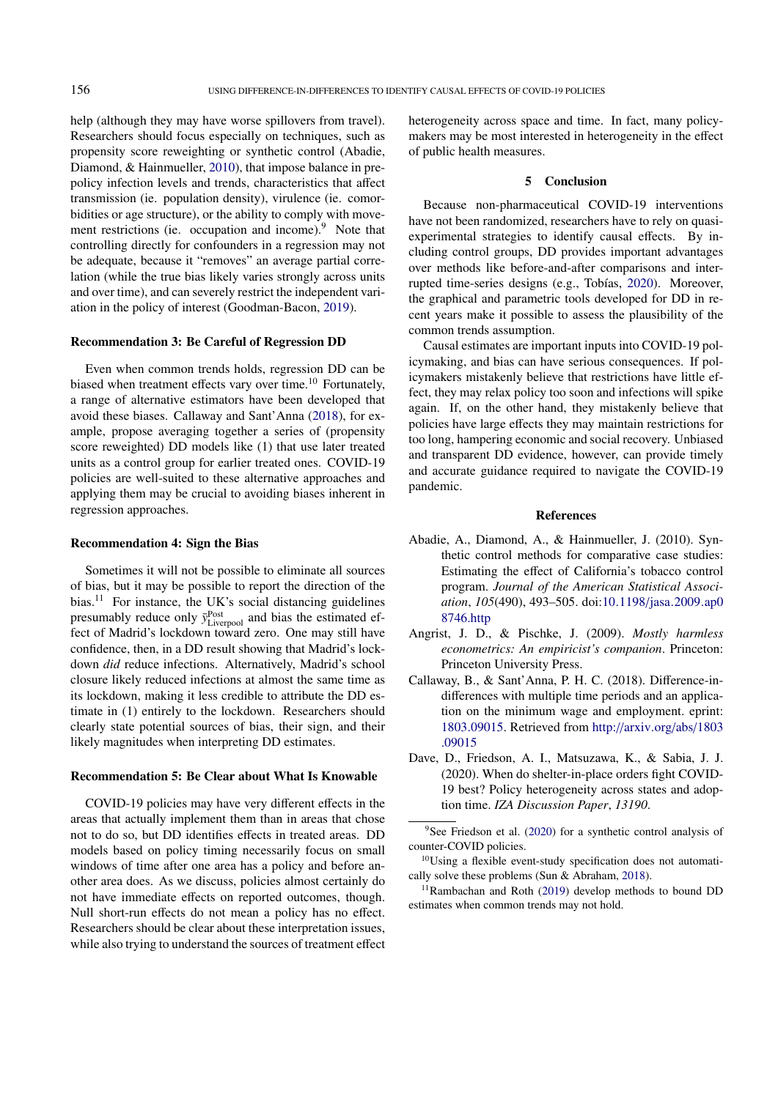help (although they may have worse spillovers from travel). Researchers should focus especially on techniques, such as propensity score reweighting or synthetic control (Abadie, Diamond, & Hainmueller, [2010\)](#page-3-2), that impose balance in prepolicy infection levels and trends, characteristics that affect transmission (ie. population density), virulence (ie. comorbidities or age structure), or the ability to comply with move-ment restrictions (ie. occupation and income).<sup>[9](#page-3-3)</sup> Note that controlling directly for confounders in a regression may not be adequate, because it "removes" an average partial correlation (while the true bias likely varies strongly across units and over time), and can severely restrict the independent variation in the policy of interest (Goodman-Bacon, [2019\)](#page-4-11).

## Recommendation 3: Be Careful of Regression DD

Even when common trends holds, regression DD can be biased when treatment effects vary over time.<sup>[10](#page-3-4)</sup> Fortunately, a range of alternative estimators have been developed that avoid these biases. Callaway and Sant'Anna [\(2018\)](#page-3-5), for example, propose averaging together a series of (propensity score reweighted) DD models like (1) that use later treated units as a control group for earlier treated ones. COVID-19 policies are well-suited to these alternative approaches and applying them may be crucial to avoiding biases inherent in regression approaches.

### Recommendation 4: Sign the Bias

Sometimes it will not be possible to eliminate all sources of bias, but it may be possible to report the direction of the bias.<sup>[11](#page-3-6)</sup> For instance, the UK's social distancing guidelines presumably reduce only  $\bar{y}^{\text{Post}}_{\text{Livepool}}$  and bias the estimated effect of Madrid's lockdown toward zero. One may still have confidence, then, in a DD result showing that Madrid's lockdown *did* reduce infections. Alternatively, Madrid's school closure likely reduced infections at almost the same time as its lockdown, making it less credible to attribute the DD estimate in (1) entirely to the lockdown. Researchers should clearly state potential sources of bias, their sign, and their likely magnitudes when interpreting DD estimates.

## Recommendation 5: Be Clear about What Is Knowable

COVID-19 policies may have very different effects in the areas that actually implement them than in areas that chose not to do so, but DD identifies effects in treated areas. DD models based on policy timing necessarily focus on small windows of time after one area has a policy and before another area does. As we discuss, policies almost certainly do not have immediate effects on reported outcomes, though. Null short-run effects do not mean a policy has no effect. Researchers should be clear about these interpretation issues, while also trying to understand the sources of treatment effect

heterogeneity across space and time. In fact, many policymakers may be most interested in heterogeneity in the effect of public health measures.

## 5 Conclusion

Because non-pharmaceutical COVID-19 interventions have not been randomized, researchers have to rely on quasiexperimental strategies to identify causal effects. By including control groups, DD provides important advantages over methods like before-and-after comparisons and interrupted time-series designs (e.g., Tobías, [2020\)](#page-4-13). Moreover, the graphical and parametric tools developed for DD in recent years make it possible to assess the plausibility of the common trends assumption.

Causal estimates are important inputs into COVID-19 policymaking, and bias can have serious consequences. If policymakers mistakenly believe that restrictions have little effect, they may relax policy too soon and infections will spike again. If, on the other hand, they mistakenly believe that policies have large effects they may maintain restrictions for too long, hampering economic and social recovery. Unbiased and transparent DD evidence, however, can provide timely and accurate guidance required to navigate the COVID-19 pandemic.

#### References

- <span id="page-3-2"></span>Abadie, A., Diamond, A., & Hainmueller, J. (2010). Synthetic control methods for comparative case studies: Estimating the effect of California's tobacco control program. *Journal of the American Statistical Association*, *105*(490), 493–505. doi:10.1198/[jasa.2009.ap0](https://doi.org/10.1198/jasa.2009.ap08746.http) [8746.http](https://doi.org/10.1198/jasa.2009.ap08746.http)
- <span id="page-3-1"></span>Angrist, J. D., & Pischke, J. (2009). *Mostly harmless econometrics: An empiricist's companion*. Princeton: Princeton University Press.
- <span id="page-3-5"></span>Callaway, B., & Sant'Anna, P. H. C. (2018). Difference-indifferences with multiple time periods and an application on the minimum wage and employment. eprint: [1803.09015.](1803.09015) Retrieved from http://[arxiv.org](http://arxiv.org/abs/1803.09015)/abs/1803 [.09015](http://arxiv.org/abs/1803.09015)
- <span id="page-3-0"></span>Dave, D., Friedson, A. I., Matsuzawa, K., & Sabia, J. J. (2020). When do shelter-in-place orders fight COVID-19 best? Policy heterogeneity across states and adoption time. *IZA Discussion Paper*, *13190*.

<span id="page-3-3"></span> $9$ See Friedson et al. [\(2020\)](#page-4-3) for a synthetic control analysis of counter-COVID policies.

<span id="page-3-4"></span> $10$ Using a flexible event-study specification does not automatically solve these problems (Sun & Abraham, [2018\)](#page-4-14).

<span id="page-3-6"></span><sup>11</sup>Rambachan and Roth [\(2019\)](#page-4-15) develop methods to bound DD estimates when common trends may not hold.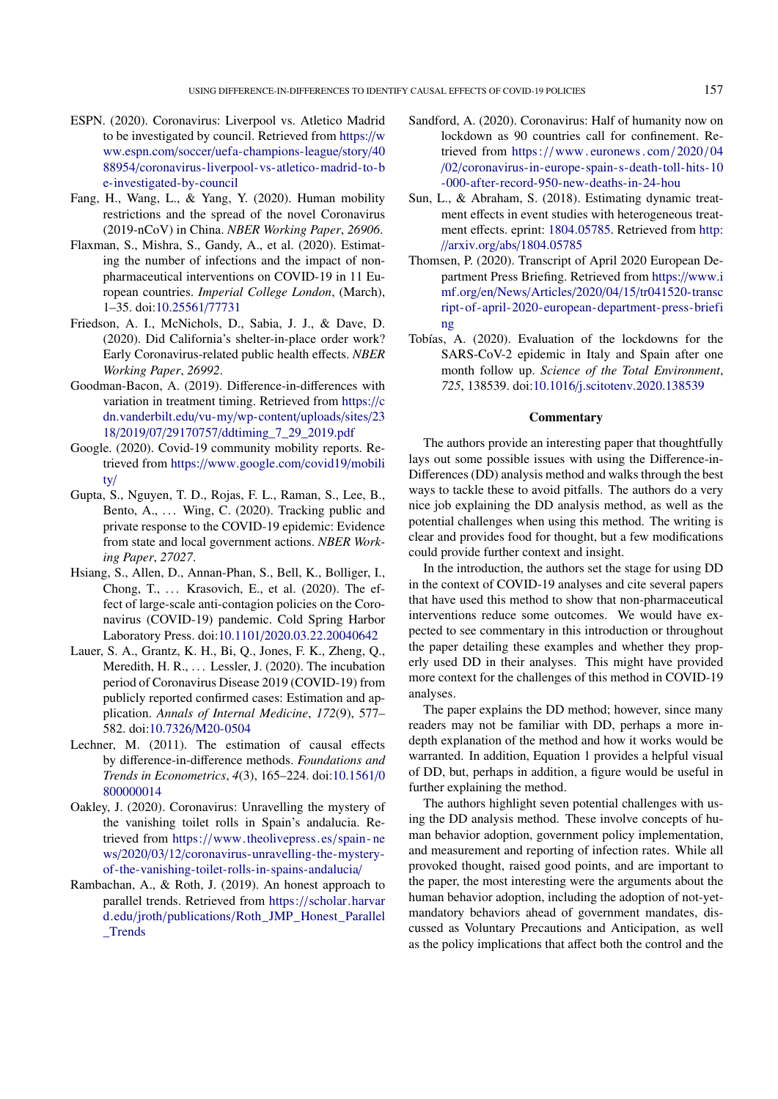- <span id="page-4-10"></span>ESPN. (2020). Coronavirus: Liverpool vs. Atletico Madrid to be investigated by council. Retrieved from [https:](https://www.espn.com/soccer/uefa-champions-league/story/4088954/coronavirus-liverpool-vs-atletico-madrid-to-be-investigated-by-council)//w ww.espn.com/soccer/[uefa-champions-league](https://www.espn.com/soccer/uefa-champions-league/story/4088954/coronavirus-liverpool-vs-atletico-madrid-to-be-investigated-by-council)/story/40 88954/[coronavirus-liverpool-vs-atletico-madrid-to-b](https://www.espn.com/soccer/uefa-champions-league/story/4088954/coronavirus-liverpool-vs-atletico-madrid-to-be-investigated-by-council) [e-investigated-by-council](https://www.espn.com/soccer/uefa-champions-league/story/4088954/coronavirus-liverpool-vs-atletico-madrid-to-be-investigated-by-council)
- <span id="page-4-2"></span>Fang, H., Wang, L., & Yang, Y. (2020). Human mobility restrictions and the spread of the novel Coronavirus (2019-nCoV) in China. *NBER Working Paper*, *26906*.
- <span id="page-4-6"></span>Flaxman, S., Mishra, S., Gandy, A., et al. (2020). Estimating the number of infections and the impact of nonpharmaceutical interventions on COVID-19 in 11 European countries. *Imperial College London*, (March), 1–35. doi[:10.25561](https://doi.org/10.25561/77731)/77731
- <span id="page-4-3"></span>Friedson, A. I., McNichols, D., Sabia, J. J., & Dave, D. (2020). Did California's shelter-in-place order work? Early Coronavirus-related public health effects. *NBER Working Paper*, *26992*.
- <span id="page-4-11"></span>Goodman-Bacon, A. (2019). Difference-in-differences with variation in treatment timing. Retrieved from [https:](https://cdn.vanderbilt.edu/vu-my/wp-content/uploads/sites/2318/2019/07/29170757/ddtiming_7_29_2019.pdf)//c [dn.vanderbilt.edu](https://cdn.vanderbilt.edu/vu-my/wp-content/uploads/sites/2318/2019/07/29170757/ddtiming_7_29_2019.pdf)/vu-my/wp-content/uploads/sites/23 18/2019/07/29170757/[ddtiming\\_7\\_29\\_2019.pdf](https://cdn.vanderbilt.edu/vu-my/wp-content/uploads/sites/2318/2019/07/29170757/ddtiming_7_29_2019.pdf)
- <span id="page-4-8"></span>Google. (2020). Covid-19 community mobility reports. Retrieved from https://[www.google.com](https://www.google.com/covid19/mobility/)/covid19/mobili [ty](https://www.google.com/covid19/mobility/)/
- <span id="page-4-4"></span>Gupta, S., Nguyen, T. D., Rojas, F. L., Raman, S., Lee, B., Bento, A., ... Wing, C. (2020). Tracking public and private response to the COVID-19 epidemic: Evidence from state and local government actions. *NBER Working Paper*, *27027*.
- <span id="page-4-5"></span>Hsiang, S., Allen, D., Annan-Phan, S., Bell, K., Bolliger, I., Chong, T.,  $\ldots$  Krasovich, E., et al. (2020). The effect of large-scale anti-contagion policies on the Coronavirus (COVID-19) pandemic. Cold Spring Harbor Laboratory Press. doi:10.1101/[2020.03.22.20040642](https://doi.org/10.1101/2020.03.22.20040642)
- <span id="page-4-12"></span>Lauer, S. A., Grantz, K. H., Bi, Q., Jones, F. K., Zheng, Q., Meredith, H. R., ... Lessler, J. (2020). The incubation period of Coronavirus Disease 2019 (COVID-19) from publicly reported confirmed cases: Estimation and application. *Annals of Internal Medicine*, *172*(9), 577– 582. doi:10.7326/[M20-0504](https://doi.org/10.7326/M20-0504)
- <span id="page-4-7"></span>Lechner, M. (2011). The estimation of causal effects by difference-in-difference methods. *Foundations and Trends in Econometrics*, *4*(3), 165–224. doi[:10.1561](https://doi.org/10.1561/0800000014)/0 [800000014](https://doi.org/10.1561/0800000014)
- <span id="page-4-9"></span>Oakley, J. (2020). Coronavirus: Unravelling the mystery of the vanishing toilet rolls in Spain's andalucia. Retrieved from https://[www.theolivepress.es](https://www.theolivepress.es/spain-news/2020/03/12/coronavirus-unravelling-the-mystery-of-the-vanishing-toilet-rolls-in-spains-andalucia/)/spain - ne ws/2020/03/12/[coronavirus-unravelling-the-mystery](https://www.theolivepress.es/spain-news/2020/03/12/coronavirus-unravelling-the-mystery-of-the-vanishing-toilet-rolls-in-spains-andalucia/)[of-the-vanishing-toilet-rolls-in-spains-andalucia](https://www.theolivepress.es/spain-news/2020/03/12/coronavirus-unravelling-the-mystery-of-the-vanishing-toilet-rolls-in-spains-andalucia/)/
- <span id="page-4-15"></span>Rambachan, A., & Roth, J. (2019). An honest approach to parallel trends. Retrieved from https://[scholar.harvar](https://scholar.harvard.edu/jroth/publications/Roth_JMP_Honest_Parallel_Trends) d.edu/jroth/publications/[Roth\\_JMP\\_Honest\\_Parallel](https://scholar.harvard.edu/jroth/publications/Roth_JMP_Honest_Parallel_Trends) [\\_Trends](https://scholar.harvard.edu/jroth/publications/Roth_JMP_Honest_Parallel_Trends)
- <span id="page-4-0"></span>Sandford, A. (2020). Coronavirus: Half of humanity now on lockdown as 90 countries call for confinement. Retrieved from https://www.euronews.com/2020/04 /02/[coronavirus-in-europe-spain-s-death-toll-hits-10](https://www.euronews.com/2020/04/02/coronavirus-in-europe-spain-s-death-toll-hits-10-000-after-record-950-new-deaths-in-24-hou) [-000-after-record-950-new-deaths-in-24-hou](https://www.euronews.com/2020/04/02/coronavirus-in-europe-spain-s-death-toll-hits-10-000-after-record-950-new-deaths-in-24-hou)
- <span id="page-4-14"></span>Sun, L., & Abraham, S. (2018). Estimating dynamic treatment effects in event studies with heterogeneous treatment effects. eprint: [1804.05785.](1804.05785) Retrieved from [http:](http://arxiv.org/abs/1804.05785) //arxiv.org/abs/[1804.05785](http://arxiv.org/abs/1804.05785)
- <span id="page-4-1"></span>Thomsen, P. (2020). Transcript of April 2020 European Department Press Briefing. Retrieved from https://[www.i](https://www.imf.org/en/News/Articles/2020/04/15/tr041520-transcript-of-april-2020-european-department-press-briefing) mf.org/en/News/Articles/2020/04/15/[tr041520-transc](https://www.imf.org/en/News/Articles/2020/04/15/tr041520-transcript-of-april-2020-european-department-press-briefing) [ript-of-april-2020-european-department-press-briefi](https://www.imf.org/en/News/Articles/2020/04/15/tr041520-transcript-of-april-2020-european-department-press-briefing) [ng](https://www.imf.org/en/News/Articles/2020/04/15/tr041520-transcript-of-april-2020-european-department-press-briefing)
- <span id="page-4-13"></span>Tobías, A. (2020). Evaluation of the lockdowns for the SARS-CoV-2 epidemic in Italy and Spain after one month follow up. *Science of the Total Environment*, *725*, 138539. doi:10.1016/[j.scitotenv.2020.138539](https://doi.org/10.1016/j.scitotenv.2020.138539)

# **Commentary**

The authors provide an interesting paper that thoughtfully lays out some possible issues with using the Difference-in-Differences (DD) analysis method and walks through the best ways to tackle these to avoid pitfalls. The authors do a very nice job explaining the DD analysis method, as well as the potential challenges when using this method. The writing is clear and provides food for thought, but a few modifications could provide further context and insight.

In the introduction, the authors set the stage for using DD in the context of COVID-19 analyses and cite several papers that have used this method to show that non-pharmaceutical interventions reduce some outcomes. We would have expected to see commentary in this introduction or throughout the paper detailing these examples and whether they properly used DD in their analyses. This might have provided more context for the challenges of this method in COVID-19 analyses.

The paper explains the DD method; however, since many readers may not be familiar with DD, perhaps a more indepth explanation of the method and how it works would be warranted. In addition, Equation 1 provides a helpful visual of DD, but, perhaps in addition, a figure would be useful in further explaining the method.

The authors highlight seven potential challenges with using the DD analysis method. These involve concepts of human behavior adoption, government policy implementation, and measurement and reporting of infection rates. While all provoked thought, raised good points, and are important to the paper, the most interesting were the arguments about the human behavior adoption, including the adoption of not-yetmandatory behaviors ahead of government mandates, discussed as Voluntary Precautions and Anticipation, as well as the policy implications that affect both the control and the